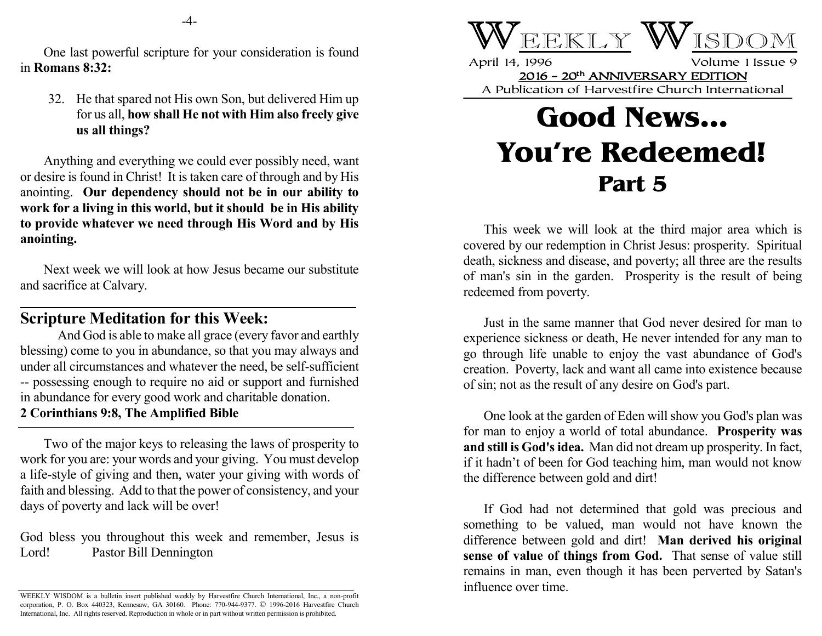One last powerful scripture for your consideration is found in **Romans 8:32:**

32. He that spared not His own Son, but delivered Him up for us all, **how shall He not with Him also freely give us all things?**

Anything and everything we could ever possibly need, want or desire is found in Christ! It is taken care of through and by His anointing. **Our dependency should not be in our ability to work for a living in this world, but it should be in His ability to provide whatever we need through His Word and by His anointing.**

Next week we will look at how Jesus became our substitute and sacrifice at Calvary.

## **Scripture Meditation for this Week:**

And God is able to make all grace (every favor and earthly blessing) come to you in abundance, so that you may always and under all circumstances and whatever the need, be self-sufficient -- possessing enough to require no aid or support and furnished in abundance for every good work and charitable donation. **2 Corinthians 9:8, The Amplified Bible**

Two of the major keys to releasing the laws of prosperity to work for you are: your words and your giving. You must develop a life-style of giving and then, water your giving with words of faith and blessing. Add to that the power of consistency, and your days of poverty and lack will be over!

God bless you throughout this week and remember, Jesus is Lord! Pastor Bill Dennington



April 14, 1996 Volume 1 Issue 9 2016 - 20th ANNIVERSARY EDITION A Publication of Harvestfire Church International

## **Good News... You're Redeemed! Part 5**

This week we will look at the third major area which is covered by our redemption in Christ Jesus: prosperity. Spiritual death, sickness and disease, and poverty; all three are the results of man's sin in the garden. Prosperity is the result of being redeemed from poverty.

Just in the same manner that God never desired for man to experience sickness or death, He never intended for any man to go through life unable to enjoy the vast abundance of God's creation. Poverty, lack and want all came into existence because of sin; not as the result of any desire on God's part.

One look at the garden of Eden will show you God's plan was for man to enjoy a world of total abundance. **Prosperity was and still is God's idea.** Man did not dream up prosperity. In fact, if it hadn't of been for God teaching him, man would not know the difference between gold and dirt!

If God had not determined that gold was precious and something to be valued, man would not have known the difference between gold and dirt! **Man derived his original sense of value of things from God.** That sense of value still remains in man, even though it has been perverted by Satan's influence over time.

WEEKLY WISDOM is a bulletin insert published weekly by Harvestfire Church International, Inc., a non-profit corporation, P. O. Box 440323, Kennesaw, GA 30160. Phone: 770-944-9377. © 1996-2016 Harvestfire Church International, Inc. All rights reserved. Reproduction in whole or in part without written permission is prohibited.